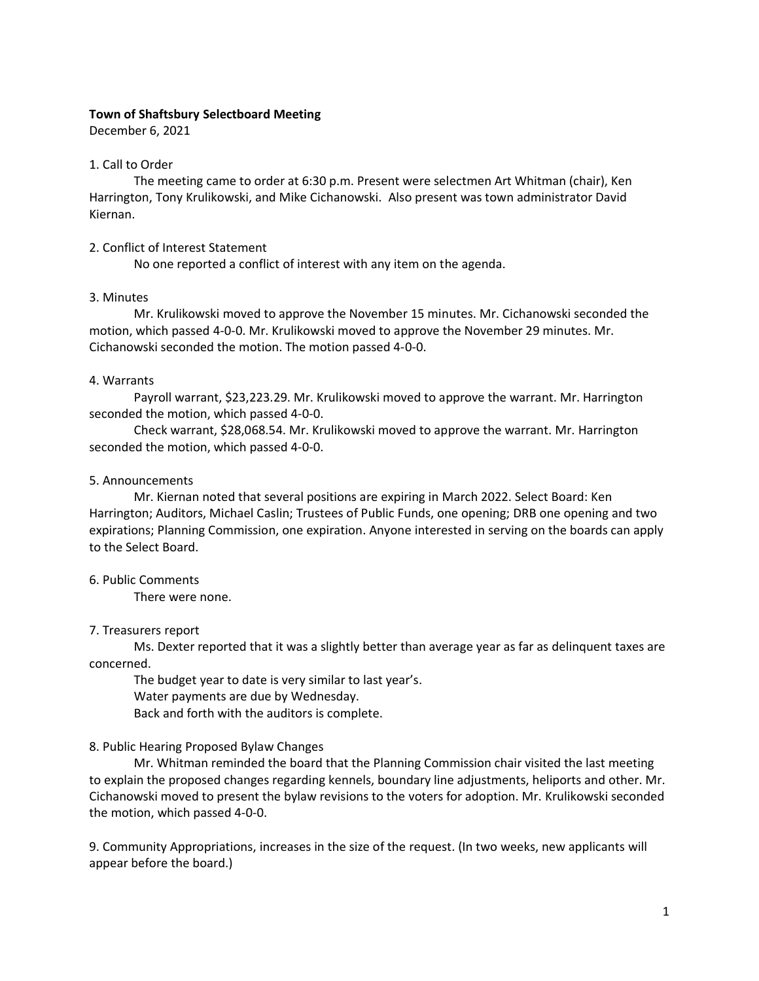# **Town of Shaftsbury Selectboard Meeting**

December 6, 2021

# 1. Call to Order

The meeting came to order at 6:30 p.m. Present were selectmen Art Whitman (chair), Ken Harrington, Tony Krulikowski, and Mike Cichanowski. Also present was town administrator David Kiernan.

# 2. Conflict of Interest Statement

No one reported a conflict of interest with any item on the agenda.

# 3. Minutes

Mr. Krulikowski moved to approve the November 15 minutes. Mr. Cichanowski seconded the motion, which passed 4-0-0. Mr. Krulikowski moved to approve the November 29 minutes. Mr. Cichanowski seconded the motion. The motion passed 4-0-0.

# 4. Warrants

Payroll warrant, \$23,223.29. Mr. Krulikowski moved to approve the warrant. Mr. Harrington seconded the motion, which passed 4-0-0.

Check warrant, \$28,068.54. Mr. Krulikowski moved to approve the warrant. Mr. Harrington seconded the motion, which passed 4-0-0.

# 5. Announcements

Mr. Kiernan noted that several positions are expiring in March 2022. Select Board: Ken Harrington; Auditors, Michael Caslin; Trustees of Public Funds, one opening; DRB one opening and two expirations; Planning Commission, one expiration. Anyone interested in serving on the boards can apply to the Select Board.

### 6. Public Comments

There were none.

### 7. Treasurers report

Ms. Dexter reported that it was a slightly better than average year as far as delinquent taxes are concerned.

The budget year to date is very similar to last year's.

Water payments are due by Wednesday.

Back and forth with the auditors is complete.

# 8. Public Hearing Proposed Bylaw Changes

Mr. Whitman reminded the board that the Planning Commission chair visited the last meeting to explain the proposed changes regarding kennels, boundary line adjustments, heliports and other. Mr. Cichanowski moved to present the bylaw revisions to the voters for adoption. Mr. Krulikowski seconded the motion, which passed 4-0-0.

9. Community Appropriations, increases in the size of the request. (In two weeks, new applicants will appear before the board.)